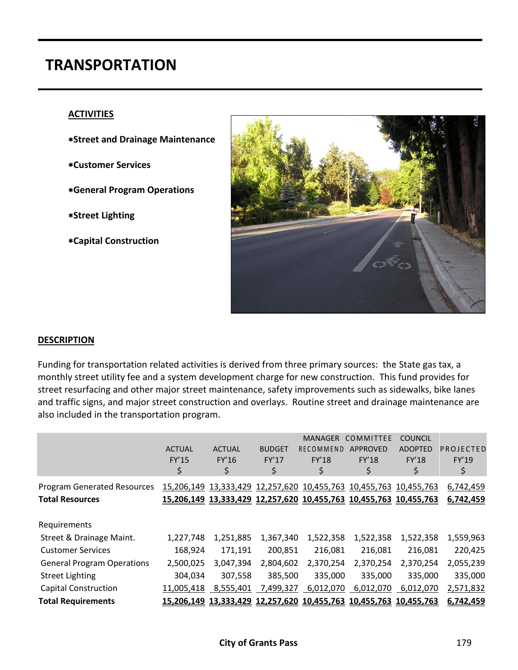# **TRANSPORTATION**

### **ACTIVITIES**

- **Street and Drainage Maintenance**
- **Customer Services**
- **General Program Operations**
- **Street Lighting**
- **Capital Construction**



#### **DESCRIPTION**

Funding for transportation related activities is derived from three primary sources: the State gas tax, a monthly street utility fee and a system development charge for new construction. This fund provides for street resurfacing and other major street maintenance, safety improvements such as sidewalks, bike lanes and traffic signs, and major street construction and overlays. Routine street and drainage maintenance are also included in the transportation program.

|                                                              | <b>ACTUAL</b><br>FY'15<br>\$ | <b>ACTUAL</b><br>FY'16<br>\$ | <b>BUDGET</b><br>FY'17<br>\$ | <b>MANAGER</b><br>RECOMMEND<br>FY'18 | COMMITTEE<br>APPROVED<br><b>FY'18</b><br>\$                                                                                            | <b>COUNCIL</b><br><b>ADOPTED</b><br><b>FY'18</b><br>\$ | PROJECTED<br>FY'19<br>\$ |
|--------------------------------------------------------------|------------------------------|------------------------------|------------------------------|--------------------------------------|----------------------------------------------------------------------------------------------------------------------------------------|--------------------------------------------------------|--------------------------|
| <b>Program Generated Resources</b><br><b>Total Resources</b> |                              |                              |                              |                                      | 15,206,149 13,333,429 12,257,620 10,455,763 10,455,763 10,455,763<br>15,206,149 13,333,429 12,257,620 10,455,763 10,455,763 10,455,763 |                                                        | 6,742,459<br>6,742,459   |
| Requirements                                                 |                              |                              |                              |                                      |                                                                                                                                        |                                                        |                          |
| Street & Drainage Maint.                                     | 1,227,748                    | 1,251,885                    | 1,367,340                    | 1,522,358                            | 1,522,358                                                                                                                              | 1,522,358                                              | 1,559,963                |
| <b>Customer Services</b>                                     | 168,924                      | 171,191                      | 200,851                      | 216,081                              | 216,081                                                                                                                                | 216,081                                                | 220,425                  |
| <b>General Program Operations</b>                            | 2,500,025                    | 3,047,394                    | 2,804,602                    | 2,370,254                            | 2,370,254                                                                                                                              | 2,370,254                                              | 2,055,239                |
| <b>Street Lighting</b>                                       | 304,034                      | 307,558                      | 385,500                      | 335,000                              | 335,000                                                                                                                                | 335,000                                                | 335,000                  |
| <b>Capital Construction</b>                                  | 11,005,418                   | 8,555,401                    | 7,499,327                    | 6,012,070                            | 6,012,070                                                                                                                              | 6,012,070                                              | 2,571,832                |
| <b>Total Requirements</b>                                    |                              |                              |                              |                                      | 15,206,149 13,333,429 12,257,620 10,455,763 10,455,763 10,455,763                                                                      |                                                        | 6,742,459                |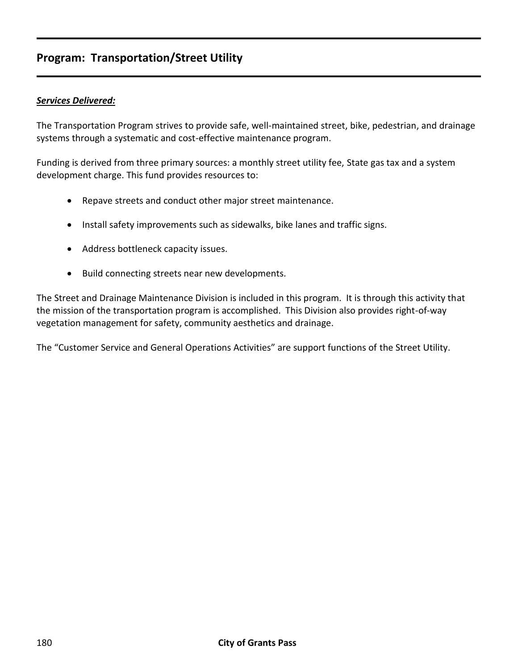### **Program: Transportation/Street Utility**

### *Services Delivered:*

The Transportation Program strives to provide safe, well-maintained street, bike, pedestrian, and drainage systems through a systematic and cost-effective maintenance program.

Funding is derived from three primary sources: a monthly street utility fee, State gas tax and a system development charge. This fund provides resources to:

- Repave streets and conduct other major street maintenance.
- Install safety improvements such as sidewalks, bike lanes and traffic signs.
- Address bottleneck capacity issues.
- Build connecting streets near new developments.

The Street and Drainage Maintenance Division is included in this program. It is through this activity that the mission of the transportation program is accomplished. This Division also provides right-of-way vegetation management for safety, community aesthetics and drainage.

The "Customer Service and General Operations Activities" are support functions of the Street Utility.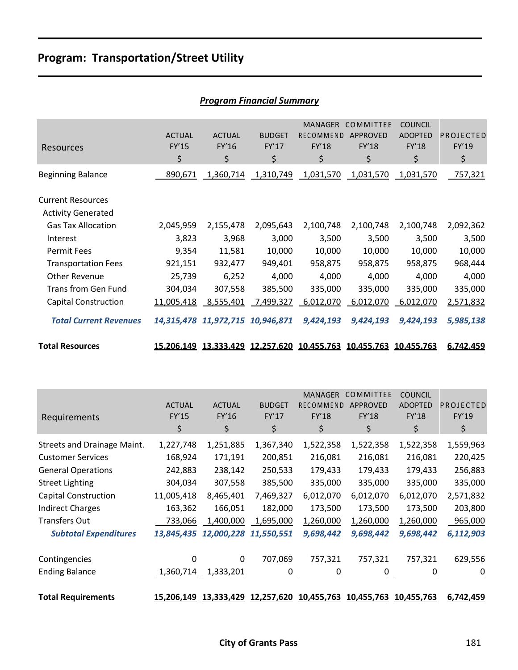## **Program: Transportation/Street Utility**

|                                                       |                              |                                  | Program Financial Summary    |                                                          |                                             |                                                 |                          |
|-------------------------------------------------------|------------------------------|----------------------------------|------------------------------|----------------------------------------------------------|---------------------------------------------|-------------------------------------------------|--------------------------|
| Resources                                             | <b>ACTUAL</b><br>FY'15<br>\$ | <b>ACTUAL</b><br>FY'16<br>\$     | <b>BUDGET</b><br>FY'17<br>\$ | <b>MANAGER</b><br><b>RECOMMEND</b><br><b>FY'18</b><br>\$ | COMMITTEE<br>APPROVED<br><b>FY'18</b><br>\$ | <b>COUNCIL</b><br><b>ADOPTED</b><br>FY'18<br>\$ | PROJECTED<br>FY'19<br>\$ |
| <b>Beginning Balance</b>                              | 890,671                      | 1,360,714                        | 1,310,749                    | 1,031,570                                                | 1,031,570                                   | 1,031,570                                       | 757,321                  |
| <b>Current Resources</b><br><b>Activity Generated</b> |                              |                                  |                              |                                                          |                                             |                                                 |                          |
| <b>Gas Tax Allocation</b>                             | 2,045,959                    | 2,155,478                        | 2,095,643                    | 2,100,748                                                | 2,100,748                                   | 2,100,748                                       | 2,092,362                |
| Interest                                              | 3,823                        | 3,968                            | 3,000                        | 3,500                                                    | 3,500                                       | 3,500                                           | 3,500                    |
| Permit Fees                                           | 9,354                        | 11,581                           | 10,000                       | 10,000                                                   | 10,000                                      | 10,000                                          | 10,000                   |
| <b>Transportation Fees</b>                            | 921,151                      | 932,477                          | 949,401                      | 958,875                                                  | 958,875                                     | 958,875                                         | 968,444                  |
| <b>Other Revenue</b>                                  | 25,739                       | 6,252                            | 4,000                        | 4,000                                                    | 4,000                                       | 4,000                                           | 4,000                    |
| <b>Trans from Gen Fund</b>                            | 304,034                      | 307,558                          | 385,500                      | 335,000                                                  | 335,000                                     | 335,000                                         | 335,000                  |
| <b>Capital Construction</b>                           | 11,005,418                   | 8,555,401                        | 7,499,327                    | 6,012,070                                                | 6,012,070                                   | 6,012,070                                       | 2,571,832                |
| <b>Total Current Revenues</b>                         |                              | 14,315,478 11,972,715 10,946,871 |                              | 9,424,193                                                | 9,424,193                                   | 9,424,193                                       | 5,985,138                |
| <b>Total Resources</b>                                | <u>15,206,149</u>            |                                  |                              | 10,455,763 10,455,763                                    |                                             | 10,455,763                                      | 6,742,459                |

### *Program Financial Summary*

|                                    | COMMITTEE<br><b>COUNCIL</b><br><b>MANAGER</b> |               |               |              |                 |                |           |
|------------------------------------|-----------------------------------------------|---------------|---------------|--------------|-----------------|----------------|-----------|
|                                    | <b>ACTUAL</b>                                 | <b>ACTUAL</b> | <b>BUDGET</b> | RECOMMEND    | <b>APPROVED</b> | <b>ADOPTED</b> | PROJECTED |
| Requirements                       | FY'15                                         | FY'16         | FY'17         | <b>FY'18</b> | FY'18           | FY'18          | FY'19     |
|                                    | \$                                            | \$            | \$            | \$           | \$              | \$             | \$        |
| <b>Streets and Drainage Maint.</b> | 1,227,748                                     | 1,251,885     | 1,367,340     | 1,522,358    | 1,522,358       | 1,522,358      | 1,559,963 |
| <b>Customer Services</b>           | 168,924                                       | 171,191       | 200,851       | 216,081      | 216,081         | 216,081        | 220,425   |
| <b>General Operations</b>          | 242,883                                       | 238,142       | 250,533       | 179,433      | 179,433         | 179,433        | 256,883   |
| <b>Street Lighting</b>             | 304,034                                       | 307,558       | 385,500       | 335,000      | 335,000         | 335,000        | 335,000   |
| <b>Capital Construction</b>        | 11,005,418                                    | 8,465,401     | 7,469,327     | 6,012,070    | 6,012,070       | 6,012,070      | 2,571,832 |
| <b>Indirect Charges</b>            | 163,362                                       | 166,051       | 182,000       | 173,500      | 173,500         | 173,500        | 203,800   |
| <b>Transfers Out</b>               | 733,066                                       | 1,400,000     | 1,695,000     | 1,260,000    | 1,260,000       | 1,260,000      | 965,000   |
| <b>Subtotal Expenditures</b>       | 13,845,435                                    | 12,000,228    | 11,550,551    | 9,698,442    | 9,698,442       | 9,698,442      | 6,112,903 |
| Contingencies                      | 0                                             | 0             | 707,069       | 757,321      | 757,321         | 757,321        | 629,556   |
| <b>Ending Balance</b>              | 1,360,714                                     | 1,333,201     | 0             | 0            | 0               | 0              | 0         |
| <b>Total Requirements</b>          | 15,206,149                                    | 13,333,429    | 12,257,620    | 10,455,763   | 10,455,763      | 10,455,763     | 6,742,459 |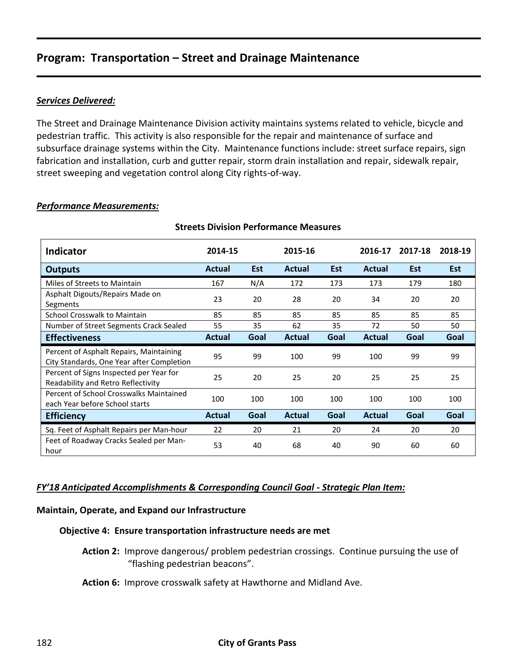### *Services Delivered:*

The Street and Drainage Maintenance Division activity maintains systems related to vehicle, bicycle and pedestrian traffic. This activity is also responsible for the repair and maintenance of surface and subsurface drainage systems within the City. Maintenance functions include: street surface repairs, sign fabrication and installation, curb and gutter repair, storm drain installation and repair, sidewalk repair, street sweeping and vegetation control along City rights-of-way.

#### *Performance Measurements:*

| Indicator                                                                            | 2014-15       |            | 2015-16       |            | 2016-17       | 2017-18    | 2018-19    |
|--------------------------------------------------------------------------------------|---------------|------------|---------------|------------|---------------|------------|------------|
| <b>Outputs</b>                                                                       | Actual        | <b>Est</b> | Actual        | <b>Est</b> | Actual        | <b>Est</b> | <b>Est</b> |
| Miles of Streets to Maintain                                                         | 167           | N/A        | 172           | 173        | 173           | 179        | 180        |
| Asphalt Digouts/Repairs Made on<br>Segments                                          | 23            | 20         | 28            | 20         | 34            | 20         | 20         |
| School Crosswalk to Maintain                                                         | 85            | 85         | 85            | 85         | 85            | 85         | 85         |
| Number of Street Segments Crack Sealed                                               | 55            | 35         | 62            | 35         | 72            | 50         | 50         |
| <b>Effectiveness</b>                                                                 | <b>Actual</b> | Goal       | <b>Actual</b> | Goal       | <b>Actual</b> | Goal       | Goal       |
| Percent of Asphalt Repairs, Maintaining<br>City Standards, One Year after Completion | 95            | 99         | 100           | 99         | 100           | 99         | 99         |
| Percent of Signs Inspected per Year for<br>Readability and Retro Reflectivity        | 25            | 20         | 25            | 20         | 25            | 25         | 25         |
| Percent of School Crosswalks Maintained<br>each Year before School starts            | 100           | 100        | 100           | 100        | 100           | 100        | 100        |
| <b>Efficiency</b>                                                                    | <b>Actual</b> | Goal       | <b>Actual</b> | Goal       | Actual        | Goal       | Goal       |
| Sq. Feet of Asphalt Repairs per Man-hour                                             | 22            | 20         | 21            | 20         | 24            | 20         | 20         |
| Feet of Roadway Cracks Sealed per Man-<br>hour                                       | 53            | 40         | 68            | 40         | 90            | 60         | 60         |

#### **Streets Division Performance Measures**

### *FY'18 Anticipated Accomplishments & Corresponding Council Goal - Strategic Plan Item:*

### **Maintain, Operate, and Expand our Infrastructure**

### **Objective 4: Ensure transportation infrastructure needs are met**

- **Action 2:** Improve dangerous/ problem pedestrian crossings. Continue pursuing the use of "flashing pedestrian beacons".
- **Action 6:** Improve crosswalk safety at Hawthorne and Midland Ave.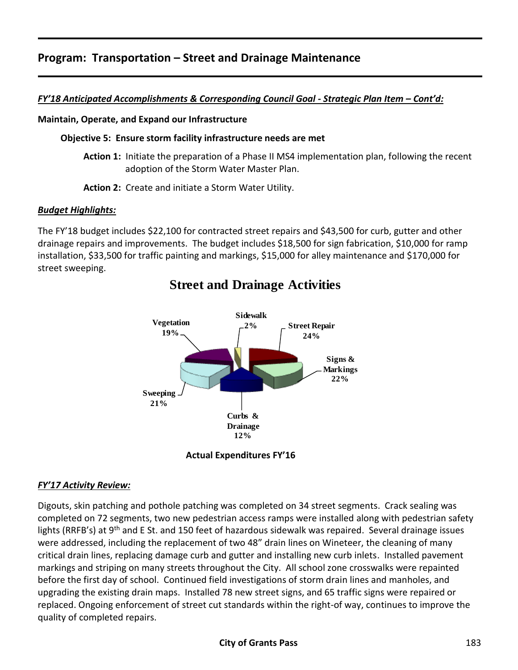*FY'18 Anticipated Accomplishments & Corresponding Council Goal - Strategic Plan Item – Cont'd:*

#### **Maintain, Operate, and Expand our Infrastructure**

**Objective 5: Ensure storm facility infrastructure needs are met**

**Action 1:** Initiate the preparation of a Phase II MS4 implementation plan, following the recent adoption of the Storm Water Master Plan.

**Action 2:** Create and initiate a Storm Water Utility.

#### *Budget Highlights:*

The FY'18 budget includes \$22,100 for contracted street repairs and \$43,500 for curb, gutter and other drainage repairs and improvements. The budget includes \$18,500 for sign fabrication, \$10,000 for ramp installation, \$33,500 for traffic painting and markings, \$15,000 for alley maintenance and \$170,000 for street sweeping.



## **Street and Drainage Activities**

### **Actual Expenditures FY'16**

### *FY'17 Activity Review:*

Digouts, skin patching and pothole patching was completed on 34 street segments. Crack sealing was completed on 72 segments, two new pedestrian access ramps were installed along with pedestrian safety lights (RRFB's) at  $9<sup>th</sup>$  and E St. and 150 feet of hazardous sidewalk was repaired. Several drainage issues were addressed, including the replacement of two 48" drain lines on Wineteer, the cleaning of many critical drain lines, replacing damage curb and gutter and installing new curb inlets. Installed pavement markings and striping on many streets throughout the City. All school zone crosswalks were repainted before the first day of school. Continued field investigations of storm drain lines and manholes, and upgrading the existing drain maps. Installed 78 new street signs, and 65 traffic signs were repaired or replaced. Ongoing enforcement of street cut standards within the right-of way, continues to improve the quality of completed repairs.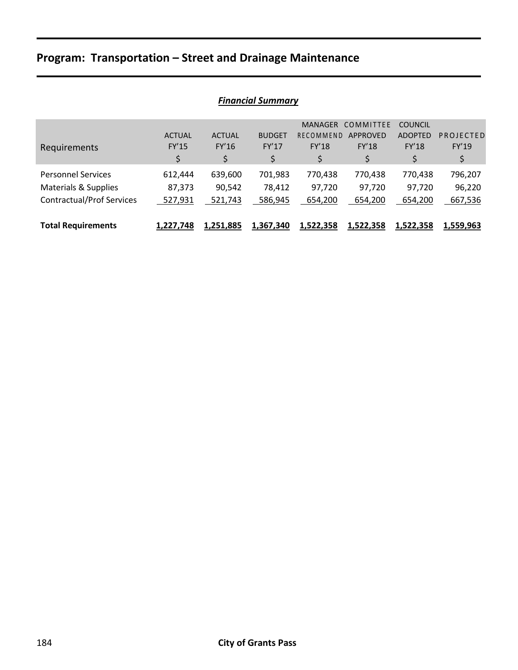|                                                                                       | Financial Summary            |                              |                              |                                                   |                                                    |                                                 |                              |  |  |  |
|---------------------------------------------------------------------------------------|------------------------------|------------------------------|------------------------------|---------------------------------------------------|----------------------------------------------------|-------------------------------------------------|------------------------------|--|--|--|
| Requirements                                                                          | <b>ACTUAL</b><br>FY'15<br>\$ | <b>ACTUAL</b><br>FY'16<br>\$ | <b>BUDGET</b><br>FY'17<br>\$ | <b>MANAGER</b><br><b>RECOMMEND</b><br>FY'18<br>\$ | COMMITTEE<br><b>APPROVED</b><br><b>FY'18</b><br>\$ | <b>COUNCIL</b><br><b>ADOPTED</b><br>FY'18<br>\$ | PROJECTED<br>FY'19<br>\$     |  |  |  |
| <b>Personnel Services</b><br>Materials & Supplies<br><b>Contractual/Prof Services</b> | 612,444<br>87,373<br>527,931 | 639,600<br>90,542<br>521,743 | 701,983<br>78,412<br>586,945 | 770,438<br>97,720<br>654,200                      | 770,438<br>97,720<br>654,200                       | 770,438<br>97,720<br>654,200                    | 796,207<br>96,220<br>667,536 |  |  |  |
| <b>Total Requirements</b>                                                             | 1,227,748                    | 1,251,885                    | 1,367,340                    | 1,522,358                                         | 1,522,358                                          | 1,522,358                                       | 1,559,963                    |  |  |  |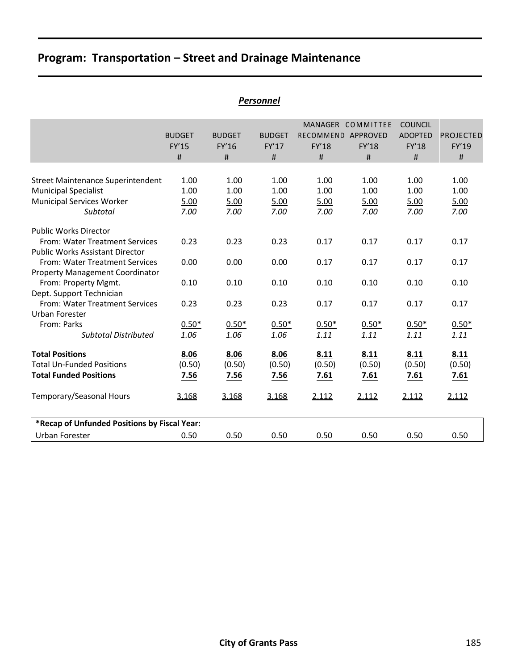|                                                                                                                                            | Personnel                    |                              |                                    |                                  |                                        |                                                       |                              |  |  |  |  |
|--------------------------------------------------------------------------------------------------------------------------------------------|------------------------------|------------------------------|------------------------------------|----------------------------------|----------------------------------------|-------------------------------------------------------|------------------------------|--|--|--|--|
|                                                                                                                                            | <b>BUDGET</b><br>FY'15<br>#  | <b>BUDGET</b><br>FY'16<br>#  | <b>BUDGET</b><br><b>FY'17</b><br># | RECOMMEND APPROVED<br>FY'18<br># | MANAGER COMMITTEE<br><b>FY'18</b><br># | <b>COUNCIL</b><br><b>ADOPTED</b><br><b>FY'18</b><br># | PROJECTED<br>FY'19<br>#      |  |  |  |  |
| <b>Street Maintenance Superintendent</b><br><b>Municipal Specialist</b><br><b>Municipal Services Worker</b><br><b>Subtotal</b>             | 1.00<br>1.00<br>5.00<br>7.00 | 1.00<br>1.00<br>5.00<br>7.00 | 1.00<br>1.00<br>5.00<br>7.00       | 1.00<br>1.00<br>5.00<br>7.00     | 1.00<br>1.00<br>5.00<br>7.00           | 1.00<br>1.00<br>5.00<br>7.00                          | 1.00<br>1.00<br>5.00<br>7.00 |  |  |  |  |
| <b>Public Works Director</b><br>From: Water Treatment Services<br><b>Public Works Assistant Director</b><br>From: Water Treatment Services | 0.23<br>0.00                 | 0.23<br>0.00                 | 0.23<br>0.00                       | 0.17<br>0.17                     | 0.17<br>0.17                           | 0.17<br>0.17                                          | 0.17<br>0.17                 |  |  |  |  |
| <b>Property Management Coordinator</b><br>From: Property Mgmt.<br>Dept. Support Technician                                                 | 0.10                         | 0.10                         | 0.10                               | 0.10                             | 0.10                                   | 0.10                                                  | 0.10                         |  |  |  |  |
| From: Water Treatment Services<br>Urban Forester<br>From: Parks<br><b>Subtotal Distributed</b>                                             | 0.23<br>$0.50*$<br>1.06      | 0.23<br>$0.50*$<br>1.06      | 0.23<br>$0.50*$<br>1.06            | 0.17<br>$0.50*$<br>1.11          | 0.17<br>$0.50*$<br>1.11                | 0.17<br>$0.50*$<br>1.11                               | 0.17<br>$0.50*$<br>1.11      |  |  |  |  |
| <b>Total Positions</b><br><b>Total Un-Funded Positions</b><br><b>Total Funded Positions</b>                                                | 8.06<br>(0.50)<br>7.56       | 8.06<br>(0.50)<br>7.56       | 8.06<br>(0.50)<br>7.56             | 8.11<br>(0.50)<br>7.61           | 8.11<br>(0.50)<br>7.61                 | 8.11<br>(0.50)<br>7.61                                | 8.11<br>(0.50)<br>7.61       |  |  |  |  |
| Temporary/Seasonal Hours                                                                                                                   | 3,168                        | 3,168                        | 3,168                              | 2,112                            | 2,112                                  | 2,112                                                 | 2,112                        |  |  |  |  |
| *Recap of Unfunded Positions by Fiscal Year:                                                                                               |                              |                              |                                    |                                  |                                        |                                                       |                              |  |  |  |  |
| Urban Forester                                                                                                                             | 0.50                         | 0.50                         | 0.50                               | 0.50                             | 0.50                                   | 0.50                                                  | 0.50                         |  |  |  |  |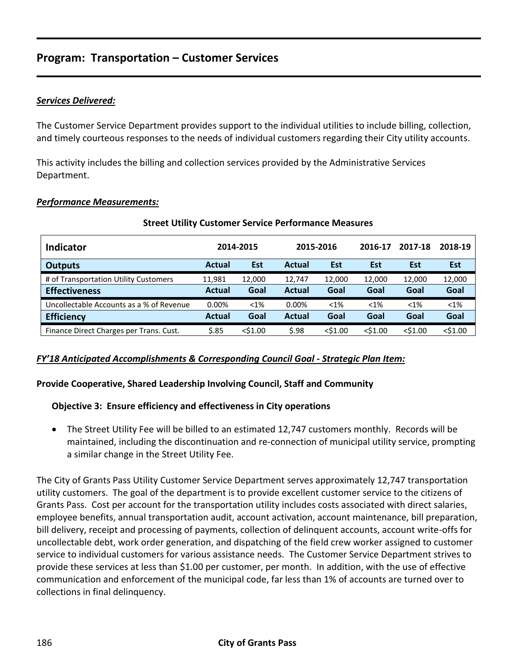### **Program: Transportation – Customer Services**

### *Services Delivered:*

The Customer Service Department provides support to the individual utilities to include billing, collection, and timely courteous responses to the needs of individual customers regarding their City utility accounts.

This activity includes the billing and collection services provided by the Administrative Services Department.

### *Performance Measurements:*

| Indicator                                | 2015-2016<br>2014-2015 |            | 2016-17       | 2017-18    | 2018-19    |            |            |
|------------------------------------------|------------------------|------------|---------------|------------|------------|------------|------------|
| <b>Outputs</b>                           | <b>Actual</b>          | Est        | <b>Actual</b> | Est        | <b>Est</b> | Est        | <b>Est</b> |
| # of Transportation Utility Customers    | 11,981                 | 12,000     | 12.747        | 12,000     | 12,000     | 12,000     | 12,000     |
| <b>Effectiveness</b>                     | <b>Actual</b>          | Goal       | <b>Actual</b> | Goal       | Goal       | Goal       | Goal       |
| Uncollectable Accounts as a % of Revenue | 0.00%                  | $< 1\%$    | 0.00%         | $< 1\%$    | $< 1\%$    | $< 1\%$    | <1%        |
| <b>Efficiency</b>                        | <b>Actual</b>          | Goal       | <b>Actual</b> | Goal       | Goal       | Goal       | Goal       |
| Finance Direct Charges per Trans. Cust.  | 5.85                   | $<$ \$1.00 | 5.98          | $<$ \$1.00 | $<$ \$1.00 | $<$ \$1.00 | $<$ \$1.00 |

#### **Street Utility Customer Service Performance Measures**

### *FY'18 Anticipated Accomplishments & Corresponding Council Goal - Strategic Plan Item:*

### **Provide Cooperative, Shared Leadership Involving Council, Staff and Community**

### **Objective 3: Ensure efficiency and effectiveness in City operations**

 The Street Utility Fee will be billed to an estimated 12,747 customers monthly. Records will be maintained, including the discontinuation and re-connection of municipal utility service, prompting a similar change in the Street Utility Fee.

The City of Grants Pass Utility Customer Service Department serves approximately 12,747 transportation utility customers. The goal of the department is to provide excellent customer service to the citizens of Grants Pass. Cost per account for the transportation utility includes costs associated with direct salaries, employee benefits, annual transportation audit, account activation, account maintenance, bill preparation, bill delivery, receipt and processing of payments, collection of delinquent accounts, account write-offs for uncollectable debt, work order generation, and dispatching of the field crew worker assigned to customer service to individual customers for various assistance needs. The Customer Service Department strives to provide these services at less than \$1.00 per customer, per month. In addition, with the use of effective communication and enforcement of the municipal code, far less than 1% of accounts are turned over to collections in final delinquency.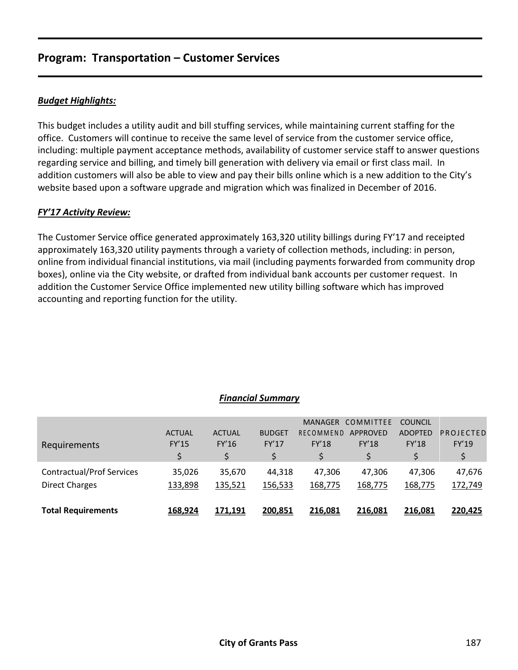### **Program: Transportation – Customer Services**

### *Budget Highlights:*

This budget includes a utility audit and bill stuffing services, while maintaining current staffing for the office. Customers will continue to receive the same level of service from the customer service office, including: multiple payment acceptance methods, availability of customer service staff to answer questions regarding service and billing, and timely bill generation with delivery via email or first class mail. In addition customers will also be able to view and pay their bills online which is a new addition to the City's website based upon a software upgrade and migration which was finalized in December of 2016.

### *FY'17 Activity Review:*

The Customer Service office generated approximately 163,320 utility billings during FY'17 and receipted approximately 163,320 utility payments through a variety of collection methods, including: in person, online from individual financial institutions, via mail (including payments forwarded from community drop boxes), online via the City website, or drafted from individual bank accounts per customer request. In addition the Customer Service Office implemented new utility billing software which has improved accounting and reporting function for the utility.

| <b>Total Requirements</b>                                 | 168,924           | 171,191           | 200,851           | 216,081           | 216,081           | 216,081           | 220,425           |
|-----------------------------------------------------------|-------------------|-------------------|-------------------|-------------------|-------------------|-------------------|-------------------|
| <b>Contractual/Prof Services</b><br><b>Direct Charges</b> | 35,026<br>133,898 | 35,670<br>135,521 | 44,318<br>156,533 | 47,306<br>168,775 | 47,306<br>168,775 | 47,306<br>168,775 | 47,676<br>172,749 |
|                                                           |                   |                   |                   |                   |                   |                   |                   |
|                                                           | \$                | \$                |                   |                   |                   |                   | \$                |
| Requirements                                              | FY'15             | FY'16             | FY'17             | <b>FY'18</b>      | <b>FY'18</b>      | <b>FY'18</b>      | <b>FY'19</b>      |
|                                                           | <b>ACTUAL</b>     | <b>ACTUAL</b>     | <b>BUDGET</b>     | RECOMMEND         | APPROVED          | <b>ADOPTED</b>    | PROJECTED         |
|                                                           |                   |                   |                   | <b>MANAGER</b>    | COMMITTEE         | <b>COUNCIL</b>    |                   |
|                                                           |                   |                   |                   |                   |                   |                   |                   |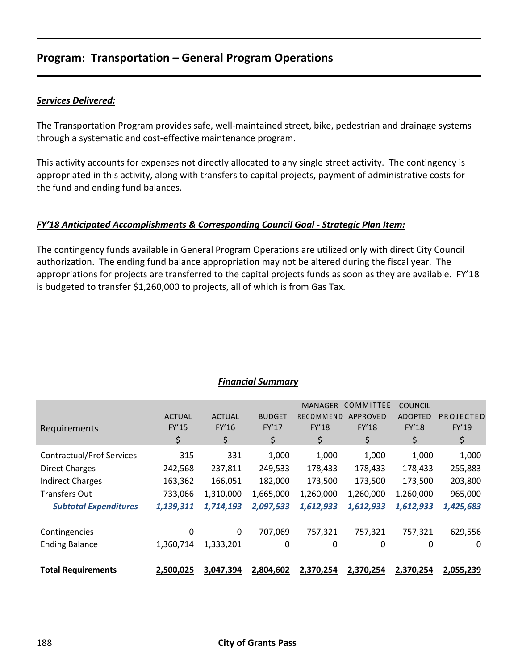### **Program: Transportation – General Program Operations**

### *Services Delivered:*

The Transportation Program provides safe, well-maintained street, bike, pedestrian and drainage systems through a systematic and cost-effective maintenance program.

This activity accounts for expenses not directly allocated to any single street activity. The contingency is appropriated in this activity, along with transfers to capital projects, payment of administrative costs for the fund and ending fund balances.

### *FY'18 Anticipated Accomplishments & Corresponding Council Goal - Strategic Plan Item:*

The contingency funds available in General Program Operations are utilized only with direct City Council authorization. The ending fund balance appropriation may not be altered during the fiscal year. The appropriations for projects are transferred to the capital projects funds as soon as they are available. FY'18 is budgeted to transfer \$1,260,000 to projects, all of which is from Gas Tax.

| Requirements                     | <b>ACTUAL</b><br>FY'15<br>\$ | <b>ACTUAL</b><br>FY'16<br>\$ | <b>BUDGET</b><br>FY'17<br>\$ | <b>MANAGER</b><br>RECOMMEND<br><b>FY'18</b><br>\$ | COMMITTEE<br><b>APPROVED</b><br>FY'18<br>\$ | <b>COUNCIL</b><br><b>ADOPTED</b><br><b>FY'18</b><br>\$ | PROJECTED<br>FY'19<br>\$ |
|----------------------------------|------------------------------|------------------------------|------------------------------|---------------------------------------------------|---------------------------------------------|--------------------------------------------------------|--------------------------|
| <b>Contractual/Prof Services</b> | 315                          | 331                          | 1,000                        | 1,000                                             | 1,000                                       | 1,000                                                  | 1,000                    |
| <b>Direct Charges</b>            | 242,568                      | 237,811                      | 249,533                      | 178,433                                           | 178,433                                     | 178,433                                                | 255,883                  |
| <b>Indirect Charges</b>          | 163,362                      | 166,051                      | 182,000                      | 173,500                                           | 173,500                                     | 173,500                                                | 203,800                  |
| <b>Transfers Out</b>             | 733,066                      | 1,310,000                    | 1,665,000                    | 1,260,000                                         | 1,260,000                                   | 1,260,000                                              | 965,000                  |
| <b>Subtotal Expenditures</b>     | 1,139,311                    | 1,714,193                    | 2,097,533                    | 1,612,933                                         | 1,612,933                                   | 1,612,933                                              | 1,425,683                |
| Contingencies                    | 0                            | $\mathbf{0}$                 | 707.069                      | 757,321                                           | 757,321                                     | 757,321                                                | 629,556                  |
| <b>Ending Balance</b>            | 1,360,714                    | 1,333,201                    | 0                            | 0                                                 | 0                                           | 0                                                      | 0                        |
| <b>Total Requirements</b>        | 2,500,025                    | 3,047,394                    | 2,804,602                    | 2,370,254                                         | 2,370,254                                   | 2,370,254                                              | 2,055,239                |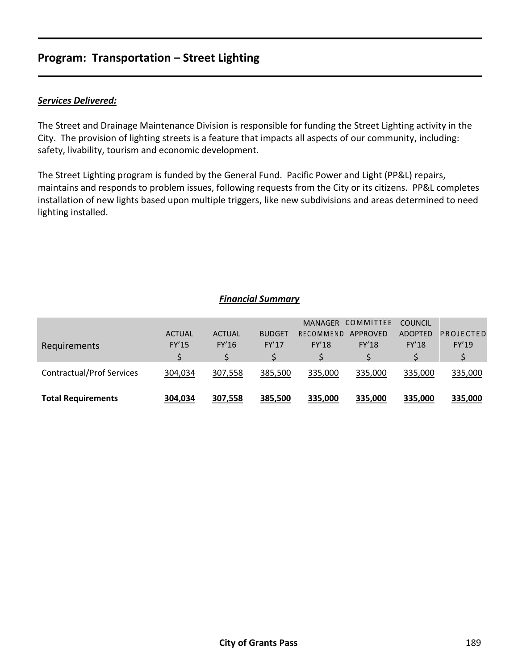### **Program: Transportation – Street Lighting**

### *Services Delivered:*

The Street and Drainage Maintenance Division is responsible for funding the Street Lighting activity in the City. The provision of lighting streets is a feature that impacts all aspects of our community, including: safety, livability, tourism and economic development.

The Street Lighting program is funded by the General Fund. Pacific Power and Light (PP&L) repairs, maintains and responds to problem issues, following requests from the City or its citizens. PP&L completes installation of new lights based upon multiple triggers, like new subdivisions and areas determined to need lighting installed.

| <b>Total Requirements</b>        | 304,034       | 307,558       | 385,500       | 335,000      | 335,000           | 335,000        | 335,000   |
|----------------------------------|---------------|---------------|---------------|--------------|-------------------|----------------|-----------|
| <b>Contractual/Prof Services</b> | 304,034       | 307,558       | 385,500       | 335,000      | 335,000           | 335,000        | 335,000   |
|                                  |               |               |               |              |                   |                |           |
| <b>Requirements</b>              | <b>FY'15</b>  | FY'16         | FY'17         | <b>FY'18</b> | <b>FY'18</b>      | <b>FY'18</b>   | FY'19     |
|                                  | <b>ACTUAL</b> | <b>ACTUAL</b> | <b>BUDGET</b> | RECOMMEND    | APPROVED          | <b>ADOPTED</b> | PROJECTED |
|                                  |               |               |               |              | MANAGER COMMITTEE | <b>COUNCIL</b> |           |
|                                  |               |               |               |              |                   |                |           |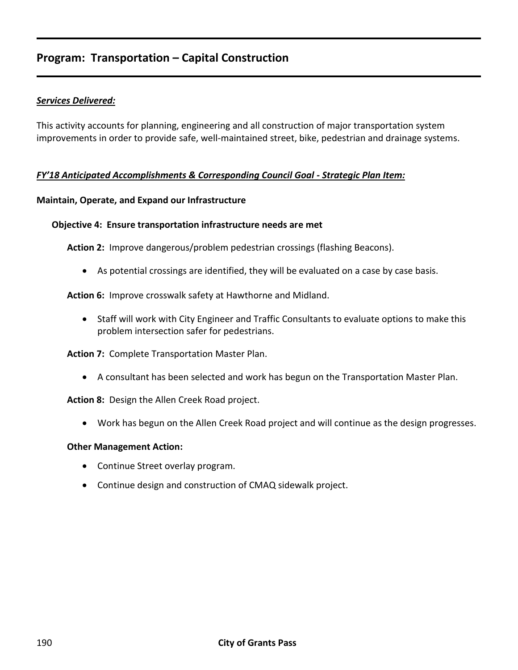### *Services Delivered:*

This activity accounts for planning, engineering and all construction of major transportation system improvements in order to provide safe, well-maintained street, bike, pedestrian and drainage systems.

### *FY'18 Anticipated Accomplishments & Corresponding Council Goal - Strategic Plan Item:*

#### **Maintain, Operate, and Expand our Infrastructure**

#### **Objective 4: Ensure transportation infrastructure needs are met**

**Action 2:** Improve dangerous/problem pedestrian crossings (flashing Beacons).

As potential crossings are identified, they will be evaluated on a case by case basis.

**Action 6:** Improve crosswalk safety at Hawthorne and Midland.

 Staff will work with City Engineer and Traffic Consultants to evaluate options to make this problem intersection safer for pedestrians.

**Action 7:** Complete Transportation Master Plan.

A consultant has been selected and work has begun on the Transportation Master Plan.

**Action 8:** Design the Allen Creek Road project.

Work has begun on the Allen Creek Road project and will continue as the design progresses.

#### **Other Management Action:**

- Continue Street overlay program.
- Continue design and construction of CMAQ sidewalk project.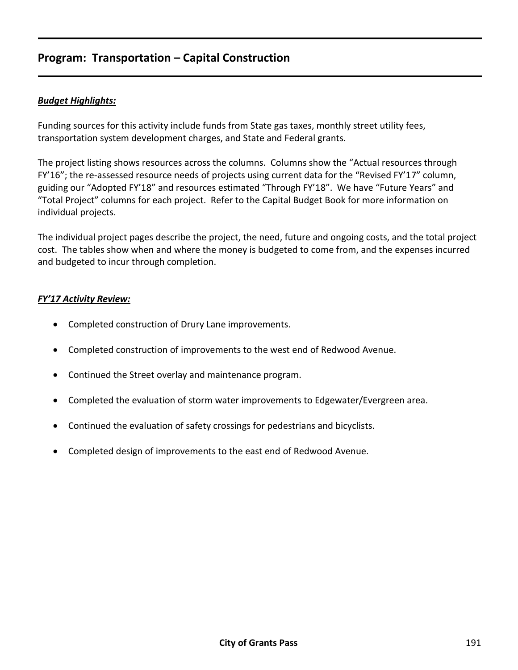### *Budget Highlights:*

Funding sources for this activity include funds from State gas taxes, monthly street utility fees, transportation system development charges, and State and Federal grants.

The project listing shows resources across the columns. Columns show the "Actual resources through FY'16"; the re-assessed resource needs of projects using current data for the "Revised FY'17" column, guiding our "Adopted FY'18" and resources estimated "Through FY'18". We have "Future Years" and "Total Project" columns for each project. Refer to the Capital Budget Book for more information on individual projects.

The individual project pages describe the project, the need, future and ongoing costs, and the total project cost. The tables show when and where the money is budgeted to come from, and the expenses incurred and budgeted to incur through completion.

### *FY'17 Activity Review:*

- Completed construction of Drury Lane improvements.
- Completed construction of improvements to the west end of Redwood Avenue.
- Continued the Street overlay and maintenance program.
- Completed the evaluation of storm water improvements to Edgewater/Evergreen area.
- Continued the evaluation of safety crossings for pedestrians and bicyclists.
- Completed design of improvements to the east end of Redwood Avenue.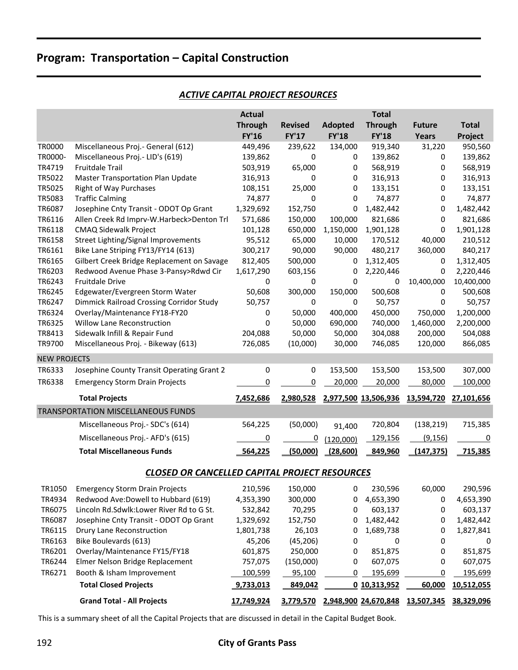|                     |                                                      | <b>Actual</b>           |                         |                         | <b>Total</b>            |                        |                    |
|---------------------|------------------------------------------------------|-------------------------|-------------------------|-------------------------|-------------------------|------------------------|--------------------|
|                     |                                                      | <b>Through</b>          | <b>Revised</b>          | <b>Adopted</b>          | <b>Through</b>          | <b>Future</b>          | <b>Total</b>       |
| <b>TR0000</b>       | Miscellaneous Proj. - General (612)                  | <b>FY'16</b><br>449,496 | <b>FY'17</b><br>239,622 | <b>FY'18</b><br>134,000 | <b>FY'18</b><br>919,340 | <b>Years</b><br>31,220 | Project<br>950,560 |
| TR0000-             | Miscellaneous Proj. - LID's (619)                    | 139,862                 | 0                       | 0                       | 139,862                 | 0                      | 139,862            |
| TR4719              | <b>Fruitdale Trail</b>                               | 503,919                 | 65,000                  | 0                       | 568,919                 | 0                      | 568,919            |
| TR5022              | Master Transportation Plan Update                    | 316,913                 | 0                       | 0                       | 316,913                 | 0                      | 316,913            |
| TR5025              | <b>Right of Way Purchases</b>                        | 108,151                 | 25,000                  | 0                       | 133,151                 | 0                      | 133,151            |
| TR5083              | <b>Traffic Calming</b>                               | 74,877                  | 0                       | 0                       | 74,877                  | 0                      | 74,877             |
| TR6087              | Josephine Cnty Transit - ODOT Op Grant               | 1,329,692               | 152,750                 | 0                       | 1,482,442               | 0                      | 1,482,442          |
| TR6116              | Allen Creek Rd Imprv-W.Harbeck>Denton Trl            | 571,686                 | 150,000                 | 100,000                 | 821,686                 | 0                      | 821,686            |
| TR6118              | <b>CMAQ Sidewalk Project</b>                         | 101,128                 | 650,000                 | 1,150,000               | 1,901,128               | 0                      | 1,901,128          |
| TR6158              | <b>Street Lighting/Signal Improvements</b>           | 95,512                  | 65,000                  | 10,000                  | 170,512                 | 40,000                 | 210,512            |
| TR6161              | Bike Lane Striping FY13/FY14 (613)                   | 300,217                 | 90,000                  | 90,000                  | 480,217                 | 360,000                | 840,217            |
| TR6165              | Gilbert Creek Bridge Replacement on Savage           | 812,405                 | 500,000                 | 0                       | 1,312,405               | 0                      | 1,312,405          |
| TR6203              | Redwood Avenue Phase 3-Pansy>Rdwd Cir                | 1,617,290               | 603,156                 | 0                       | 2,220,446               | 0                      | 2,220,446          |
| TR6243              | <b>Fruitdale Drive</b>                               | 0                       | 0                       | 0                       | 0                       | 10,400,000             | 10,400,000         |
| TR6245              | Edgewater/Evergreen Storm Water                      | 50,608                  | 300,000                 | 150,000                 | 500,608                 | 0                      | 500,608            |
| TR6247              | <b>Dimmick Railroad Crossing Corridor Study</b>      | 50,757                  | 0                       | 0                       | 50,757                  | 0                      | 50,757             |
| TR6324              | Overlay/Maintenance FY18-FY20                        | 0                       | 50,000                  | 400,000                 | 450,000                 | 750,000                | 1,200,000          |
| TR6325              | Willow Lane Reconstruction                           | 0                       | 50,000                  | 690,000                 | 740,000                 | 1,460,000              | 2,200,000          |
| TR8413              | Sidewalk Infill & Repair Fund                        | 204,088                 | 50,000                  | 50,000                  | 304,088                 | 200,000                | 504,088            |
| TR9700              | Miscellaneous Proj. - Bikeway (613)                  | 726,085                 | (10,000)                | 30,000                  | 746,085                 | 120,000                | 866,085            |
| <b>NEW PROJECTS</b> |                                                      |                         |                         |                         |                         |                        |                    |
| TR6333              | Josephine County Transit Operating Grant 2           | 0                       | 0                       | 153,500                 | 153,500                 | 153,500                | 307,000            |
| TR6338              | <b>Emergency Storm Drain Projects</b>                | 0                       | 0                       | 20,000                  | 20,000                  | 80,000                 | 100,000            |
|                     | <b>Total Projects</b>                                | 7,452,686               | 2,980,528               |                         | 2,977,500 13,506,936    | 13,594,720             | 27,101,656         |
|                     | TRANSPORTATION MISCELLANEOUS FUNDS                   |                         |                         |                         |                         |                        |                    |
|                     | Miscellaneous Proj. - SDC's (614)                    | 564,225                 | (50,000)                | 91,400                  | 720,804                 | (138, 219)             | 715,385            |
|                     | Miscellaneous Proj. - AFD's (615)                    | $\overline{0}$          | 0                       | (120,000)               | 129,156                 | (9, 156)               | - 0                |
|                     | <b>Total Miscellaneous Funds</b>                     | 564,225                 | (50,000)                | (28,600)                | 849,960                 | (147, 375)             | 715,385            |
|                     |                                                      |                         |                         |                         |                         |                        |                    |
|                     | <b>CLOSED OR CANCELLED CAPITAL PROJECT RESOURCES</b> |                         |                         |                         |                         |                        |                    |
| TR1050              | <b>Emergency Storm Drain Projects</b>                | 210,596                 | 150,000                 | 0                       | 230,596                 | 60,000                 | 290,596            |
| TR4934              | Redwood Ave: Dowell to Hubbard (619)                 | 4,353,390               | 300,000                 | 0                       | 4,653,390               | 0                      | 4,653,390          |
| TR6075              | Lincoln Rd.Sdwlk:Lower River Rd to G St.             | 532,842                 | 70,295                  | 0                       | 603,137                 | 0                      | 603,137            |
| TR6087              | Josephine Cnty Transit - ODOT Op Grant               | 1,329,692               | 152,750                 | 0                       | 1,482,442               | 0                      | 1,482,442          |
| TR6115              | Drury Lane Reconstruction                            | 1,801,738               | 26,103                  | 0                       | 1,689,738               | 0                      | 1,827,841          |
| TR6163              | Bike Boulevards (613)                                | 45,206                  | (45, 206)               | 0                       | 0                       | 0                      | 0                  |
| TR6201              | Overlay/Maintenance FY15/FY18                        | 601,875                 | 250,000                 | 0                       | 851,875                 | 0                      | 851,875            |
| TR6244              | Elmer Nelson Bridge Replacement                      | 757,075                 | (150,000)               | 0                       | 607,075                 | 0                      | 607,075            |
| TR6271              | Booth & Isham Improvement                            | 100,599                 | 95,100                  | 0                       | 195,699                 | 0                      | 195,699            |
|                     | <b>Total Closed Projects</b>                         | 9,733,013               | 849,042                 |                         | 0 10,313,952            | 60,000                 | 10,512,055         |
|                     | <b>Grand Total - All Projects</b>                    | 17,749,924              | 3,779,570               |                         | 2,948,900 24,670,848    | 13,507,345             | 38,329,096         |

### *ACTIVE CAPITAL PROJECT RESOURCES*

This is a summary sheet of all the Capital Projects that are discussed in detail in the Capital Budget Book.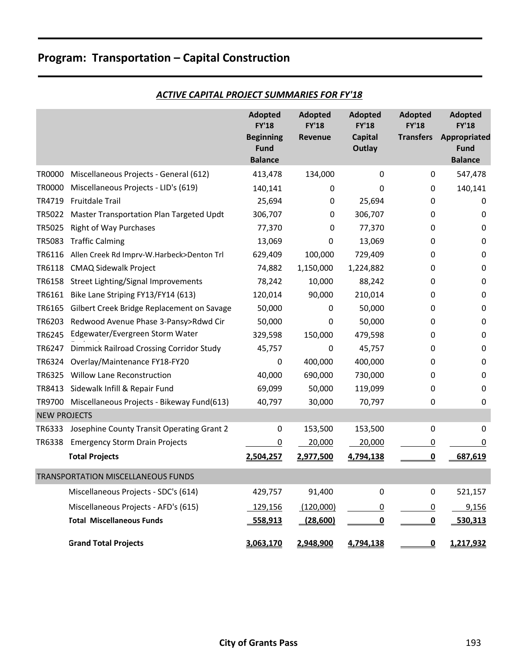|                     |                                                   | <b>Adopted</b><br><b>FY'18</b><br><b>Beginning</b><br><b>Fund</b><br><b>Balance</b> | <b>Adopted</b><br><b>FY'18</b><br><b>Revenue</b> | <b>Adopted</b><br><b>FY'18</b><br><b>Capital</b><br>Outlay | <b>Adopted</b><br><b>FY'18</b><br><b>Transfers</b> | <b>Adopted</b><br><b>FY'18</b><br>Appropriated<br><b>Fund</b><br><b>Balance</b> |
|---------------------|---------------------------------------------------|-------------------------------------------------------------------------------------|--------------------------------------------------|------------------------------------------------------------|----------------------------------------------------|---------------------------------------------------------------------------------|
| <b>TR0000</b>       | Miscellaneous Projects - General (612)            | 413,478                                                                             | 134,000                                          | 0                                                          | 0                                                  | 547,478                                                                         |
| <b>TR0000</b>       | Miscellaneous Projects - LID's (619)              | 140,141                                                                             | 0                                                | 0                                                          | 0                                                  | 140,141                                                                         |
| TR4719              | <b>Fruitdale Trail</b>                            | 25,694                                                                              | 0                                                | 25,694                                                     | 0                                                  | 0                                                                               |
| TR5022              | Master Transportation Plan Targeted Updt          | 306,707                                                                             | 0                                                | 306,707                                                    | 0                                                  | 0                                                                               |
| TR5025              | <b>Right of Way Purchases</b>                     | 77,370                                                                              | 0                                                | 77,370                                                     | 0                                                  | 0                                                                               |
| TR5083              | <b>Traffic Calming</b>                            | 13,069                                                                              | 0                                                | 13,069                                                     | 0                                                  | 0                                                                               |
| TR6116              | Allen Creek Rd Imprv-W.Harbeck>Denton Trl         | 629,409                                                                             | 100,000                                          | 729,409                                                    | 0                                                  | 0                                                                               |
| TR6118              | <b>CMAQ Sidewalk Project</b>                      | 74,882                                                                              | 1,150,000                                        | 1,224,882                                                  | 0                                                  | 0                                                                               |
| TR6158              | <b>Street Lighting/Signal Improvements</b>        | 78,242                                                                              | 10,000                                           | 88,242                                                     | 0                                                  | 0                                                                               |
| TR6161              | Bike Lane Striping FY13/FY14 (613)                | 120,014                                                                             | 90,000                                           | 210,014                                                    | 0                                                  | 0                                                                               |
| TR6165              | Gilbert Creek Bridge Replacement on Savage        | 50,000                                                                              | 0                                                | 50,000                                                     | 0                                                  | 0                                                                               |
| TR6203              | Redwood Avenue Phase 3-Pansy>Rdwd Cir             | 50,000                                                                              | 0                                                | 50,000                                                     | 0                                                  | 0                                                                               |
| TR6245              | Edgewater/Evergreen Storm Water                   | 329,598                                                                             | 150,000                                          | 479,598                                                    | 0                                                  | 0                                                                               |
| TR6247              | <b>Dimmick Railroad Crossing Corridor Study</b>   | 45,757                                                                              | 0                                                | 45,757                                                     | 0                                                  | 0                                                                               |
| TR6324              | Overlay/Maintenance FY18-FY20                     | 0                                                                                   | 400,000                                          | 400,000                                                    | 0                                                  | 0                                                                               |
|                     | TR6325 Willow Lane Reconstruction                 | 40,000                                                                              | 690,000                                          | 730,000                                                    | 0                                                  | 0                                                                               |
| TR8413              | Sidewalk Infill & Repair Fund                     | 69,099                                                                              | 50,000                                           | 119,099                                                    | 0                                                  | 0                                                                               |
|                     | TR9700 Miscellaneous Projects - Bikeway Fund(613) | 40,797                                                                              | 30,000                                           | 70,797                                                     | 0                                                  | 0                                                                               |
| <b>NEW PROJECTS</b> |                                                   |                                                                                     |                                                  |                                                            |                                                    |                                                                                 |
| TR6333              | Josephine County Transit Operating Grant 2        | 0                                                                                   | 153,500                                          | 153,500                                                    | 0                                                  | 0                                                                               |
| TR6338              | <b>Emergency Storm Drain Projects</b>             | <u>0</u>                                                                            | 20,000                                           | 20,000                                                     | <u>0</u>                                           | 0                                                                               |
|                     | <b>Total Projects</b>                             | 2,504,257                                                                           | 2,977,500                                        | 4,794,138                                                  | $\overline{\mathbf{0}}$                            | 687,619                                                                         |
|                     | <b>TRANSPORTATION MISCELLANEOUS FUNDS</b>         |                                                                                     |                                                  |                                                            |                                                    |                                                                                 |
|                     | Miscellaneous Projects - SDC's (614)              | 429,757                                                                             | 91,400                                           | 0                                                          | 0                                                  | 521,157                                                                         |
|                     | Miscellaneous Projects - AFD's (615)              | 129,156                                                                             | (120,000)                                        | $\overline{0}$                                             | $\overline{0}$                                     | 9,156                                                                           |
|                     | <b>Total Miscellaneous Funds</b>                  | 558,913                                                                             | (28, 600)                                        | $\overline{\mathbf{0}}$                                    | $\overline{\mathbf{0}}$                            | 530,313                                                                         |
|                     | <b>Grand Total Projects</b>                       | 3,063,170                                                                           | 2,948,900                                        | 4,794,138                                                  | <u>0</u>                                           | 1,217,932                                                                       |

### *ACTIVE CAPITAL PROJECT SUMMARIES FOR FY'18*